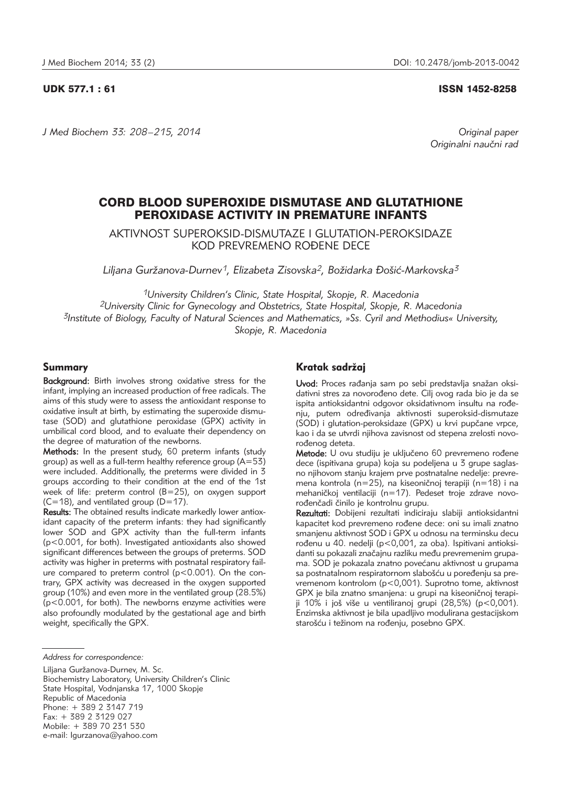UDK 577.1 : 61 ISSN 1452-8258

*J Med Biochem 33: 208 –215, 2014 Original paper*

Originalni naučni rad

# CORD BLOOD SUPEROXIDE DISMUTASE AND GLUTATHIONE PEROXIDASE ACTIVITY IN PREMATURE INFANTS

AKTIVNOST SUPEROKSID-DISMUTAZE I GLUTATION-PEROKSIDAZE KOD PREVREMENO ROĐENE DECE

*Liljana Gur`anova-Durnev1, Elizabeta Zisovska2, Bo`idarka \o{i}-Markovska3*

*1University Children's Clinic, State Hospital, Skopje, R. Macedonia 2University Clinic for Gynecology and Obstetrics, State Hospital, Skopje, R. Macedonia 3Institute of Biology, Faculty of Natural Sciences and Mathematics, »Ss. Cyril and Methodius« University, Skopje, R. Macedonia*

## Summary

Background: Birth involves strong oxidative stress for the infant, implying an increased production of free radicals. The aims of this study were to assess the antioxidant response to oxidative insult at birth, by estimating the superoxide dismutase (SOD) and glutathione peroxidase (GPX) activity in umbilical cord blood, and to evaluate their dependency on the degree of maturation of the newborns.

Methods: In the present study, 60 preterm infants (study group) as well as a full-term healthy reference group  $(A=53)$ were included. Additionally, the preterms were divided in 3 groups according to their condition at the end of the 1st week of life: preterm control (B=25), on oxygen support  $(C=18)$ , and ventilated group  $(D=17)$ .

Results: The obtained results indicate markedly lower antioxidant capacity of the preterm infants: they had significantly lower SOD and GPX activity than the full-term infants (p<0.001, for both). Investigated antioxidants also showed significant differences between the groups of preterms. SOD activity was higher in preterms with postnatal respiratory failure compared to preterm control (p<0.001). On the contrary, GPX activity was decreased in the oxygen supported group (10%) and even more in the ventilated group (28.5%) (p<0.001, for both). The newborns enzyme activities were also profoundly modulated by the gestational age and birth weight, specifically the GPX.

Liljana Guržanova-Durnev, M. Sc. Biochemistry Laboratory, University Children's Clinic State Hospital, Vodnjanska 17, 1000 Skopje Republic of Macedonia Phone: + 389 2 3147 719 Fax: + 389 2 3129 027 Mobile: + 389 70 231 530 e-mail: lgurzanova@yahoo.com

## Kratak sadržaj

Uvod: Proces rađanja sam po sebi predstavlja snažan oksidativni stres za novorođeno dete. Cilj ovog rada bio je da se ispita antioksidantni odgovor oksidativnom insultu na rođenju, putem određivanja aktivnosti superoksid-dismutaze (SOD) i glutation-peroksidaze (GPX) u krvi pupčane vrpce, kao i da se utvrdi njihova zavisnost od stepena zrelosti novorođenog deteta.

Metode: U ovu studiju je uključeno 60 prevremeno rođene dece (ispitivana grupa) koja su podeljena u 3 grupe saglasno njihovom stanju krajem prve postnatalne nedelje: prevremena kontrola (n=25), na kiseoničnoj terapiji (n=18) i na mehaničkoj ventilaciji (n=17). Pedeset troje zdrave novorođenčadi činilo je kontrolnu grupu.

Rezultati: Dobijeni rezultati indiciraju slabiji antioksidantni kapacitet kod prevremeno rođene dece: oni su imali znatno smanjenu aktivnost SOD i GPX u odnosu na terminsku decu rođenu u 40. nedelji (p<0,001, za oba). Ispitivani antioksidanti su pokazali značajnu razliku među prevremenim grupama. SOD je pokazala znatno povećanu aktivnost u grupama sa postnatalnom respiratornom slabošću u poređenju sa prevremenom kontrolom (p<0,001). Suprotno tome, aktivnost GPX je bila znatno smanjena: u grupi na kiseoničnoj terapiji 10% i još više u ventiliranoj grupi (28,5%) (p<0,001). Enzimska aktivnost je bila upadljivo modulirana gestacijskom starošću i težinom na rođenju, posebno GPX.

*Address for correspondence:*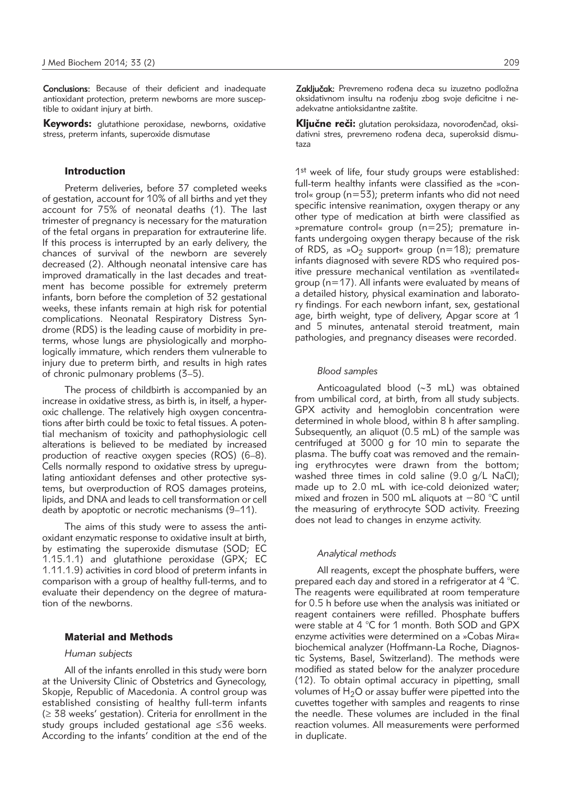Conclusions: Because of their deficient and inadequate antioxidant protection, preterm newborns are more susceptible to oxidant injury at birth.

Keywords: glutathione peroxidase, newborns, oxidative stress, preterm infants, superoxide dismutase

#### Introduction

Preterm deliveries, before 37 completed weeks of gestation, account for 10% of all births and yet they account for 75% of neonatal deaths (1). The last trimester of pregnancy is necessary for the maturation of the fetal organs in preparation for extrauterine life. If this process is interrupted by an early delivery, the chances of survival of the newborn are severely decreased (2). Although neonatal intensive care has improved dramatically in the last decades and treatment has become possible for extremely preterm infants, born before the completion of 32 gestational weeks, these infants remain at high risk for potential complications. Neonatal Respiratory Distress Syndrome (RDS) is the leading cause of morbidity in preterms, whose lungs are physiologically and morphologically immature, which renders them vulnerable to injury due to preterm birth, and results in high rates of chronic pulmonary problems (3–5).

The process of childbirth is accompanied by an increase in oxidative stress, as birth is, in itself, a hyperoxic challenge. The relatively high oxygen concentrations after birth could be toxic to fetal tissues. A potential mechanism of toxicity and pathophysiologic cell alterations is believed to be mediated by increased production of reactive oxygen species (ROS) (6–8). Cells normally respond to oxidative stress by upregulating antioxidant defenses and other protective systems, but overproduction of ROS damages proteins, lipids, and DNA and leads to cell transformation or cell death by apoptotic or necrotic mechanisms (9–11).

The aims of this study were to assess the antioxidant enzymatic response to oxidative insult at birth, by estimating the superoxide dismutase (SOD; EC 1.15.1.1) and glutathione peroxidase (GPX; EC 1.11.1.9) activities in cord blood of preterm infants in comparison with a group of healthy full-terms, and to evaluate their dependency on the degree of maturation of the newborns.

### Material and Methods

#### *Human subjects*

All of the infants enrolled in this study were born at the University Clinic of Obstetrics and Gynecology, Skopje, Republic of Macedonia. A control group was established consisting of healthy full-term infants (≥ 38 weeks' gestation). Criteria for enrollment in the study groups included gestational age ≤36 weeks. According to the infants' condition at the end of the

Zaključak: Prevremeno rođena deca su izuzetno podložna oksidativnom insultu na rođenju zbog svoje deficitne i neadekvatne antioksidantne zaštite.

Ključne reči: glutation peroksidaza, novorođenčad, oksidativni stres, prevremeno rođena deca, superoksid dismutaza

1<sup>st</sup> week of life, four study groups were established: full-term healthy infants were classified as the »control« group (n=53); preterm infants who did not need specific intensive reanimation, oxygen therapy or any other type of medication at birth were classified as »premature control« group (n=25); premature infants undergoing oxygen therapy because of the risk of RDS, as » $O_2$  support« group (n=18); premature infants diagnosed with severe RDS who required positive pressure mechanical ventilation as »ventilated« group (n=17). All infants were evaluated by means of a detailed history, physical examination and laboratory findings. For each newborn infant, sex, gestational age, birth weight, type of delivery, Apgar score at 1 and 5 minutes, antenatal steroid treatment, main pathologies, and pregnancy diseases were recorded.

#### *Blood samples*

Anticoagulated blood (∼3 mL) was obtained from umbilical cord, at birth, from all study subjects. GPX activity and hemoglobin concentration were determined in whole blood, within 8 h after sampling. Subsequently, an aliquot (0.5 mL) of the sample was centrifuged at 3000 g for 10 min to separate the plasma. The buffy coat was removed and the remaining erythrocytes were drawn from the bottom; washed three times in cold saline (9.0 g/L NaCl); made up to 2.0 mL with ice-cold deionized water; mixed and frozen in 500 mL aliquots at −80 °C until the measuring of erythrocyte SOD activity. Freezing does not lead to changes in enzyme activity.

#### *Analytical methods*

All reagents, except the phosphate buffers, were prepared each day and stored in a refrigerator at 4 °C. The reagents were equilibrated at room temperature for 0.5 h before use when the analysis was initiated or reagent containers were refilled. Phosphate buffers were stable at 4 °C for 1 month. Both SOD and GPX enzyme activities were determined on a »Cobas Mira« biochemical analyzer (Hoffmann-La Roche, Diagnostic Systems, Basel, Switzerland). The methods were modified as stated below for the analyzer procedure (12). To obtain optimal accuracy in pipetting, small volumes of  $H_2O$  or assay buffer were pipetted into the cuvettes together with samples and reagents to rinse the needle. These volumes are included in the final reaction volumes. All measurements were performed in duplicate.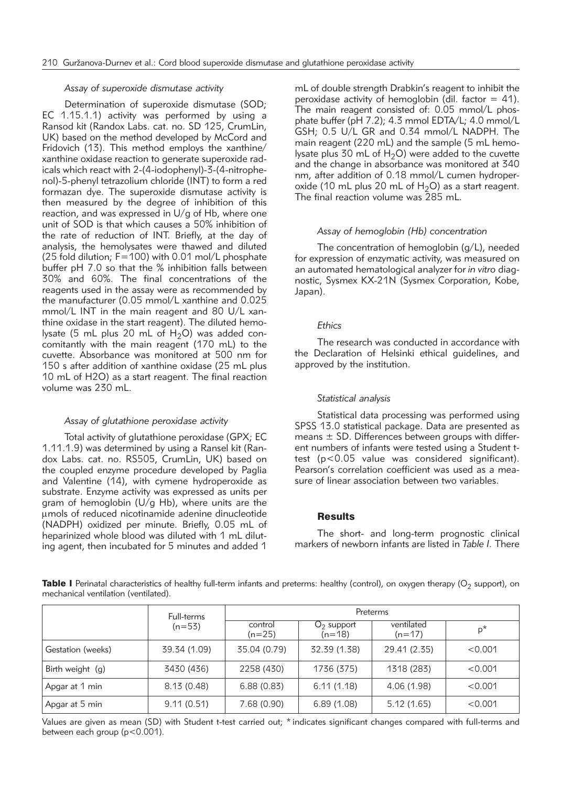#### *Assay of superoxide dismutase activity*

Determination of superoxide dismutase (SOD; EC 1.15.1.1) activity was performed by using a Ransod kit (Randox Labs. cat. no. SD 125, CrumLin, UK) based on the method developed by McCord and Fridovich (13). This method employs the xanthine/ xanthine oxidase reaction to generate superoxide radicals which react with 2-(4-iodophenyl)-3-(4-nitrophenol)-5-phenyl tetrazolium chloride (INT) to form a red formazan dye. The superoxide dismutase activity is then measured by the degree of inhibition of this reaction, and was expressed in U/g of Hb, where one unit of SOD is that which causes a 50% inhibition of the rate of reduction of INT. Briefly, at the day of analysis, the hemolysates were thawed and diluted (25 fold dilution; F=100) with 0.01 mol/L phosphate buffer pH 7.0 so that the % inhibition falls between 30% and 60%. The final concentrations of the reagents used in the assay were as recommended by the manufacturer (0.05 mmol/L xanthine and 0.025 mmol/L INT in the main reagent and 80 U/L xanthine oxidase in the start reagent). The diluted hemolysate (5 mL plus 20 mL of  $H_2O$ ) was added concomitantly with the main reagent (170 mL) to the cuvette. Absorbance was monitored at 500 nm for 150 s after addition of xanthine oxidase (25 mL plus 10 mL of H2O) as a start reagent. The final reaction volume was 230 mL.

#### *Assay of glutathione peroxidase activity*

Total activity of glutathione peroxidase (GPX; EC 1.11.1.9) was determined by using a Ransel kit (Randox Labs. cat. no. RS505, CrumLin, UK) based on the coupled enzyme procedure developed by Paglia and Valentine (14), with cymene hydroperoxide as substrate. Enzyme activity was expressed as units per gram of hemoglobin  $(U/q Hb)$ , where units are the mmols of reduced nicotinamide adenine dinucleotide (NADPH) oxidized per minute. Briefly, 0.05 mL of heparinized whole blood was diluted with 1 mL diluting agent, then incubated for 5 minutes and added 1

mL of double strength Drabkin's reagent to inhibit the peroxidase activity of hemoglobin (dil. factor  $= 41$ ). The main reagent consisted of: 0.05 mmol/L phosphate buffer (pH 7.2); 4.3 mmol EDTA/L; 4.0 mmol/L GSH; 0.5 U/L GR and 0.34 mmol/L NADPH. The main reagent (220 mL) and the sample (5 mL hemolysate plus 30 mL of  $H_2O$ ) were added to the cuvette and the change in absorbance was monitored at 340 nm, after addition of 0.18 mmol/L cumen hydroperoxide (10 mL plus 20 mL of  $H_2O$ ) as a start reagent. The final reaction volume was 285 mL.

#### *Assay of hemoglobin (Hb) concentration*

The concentration of hemoglobin (g/L), needed for expression of enzymatic activity, was measured on an automated hematological analyzer for *in vitro* diagnostic, Sysmex KX-21N (Sysmex Corporation, Kobe, Japan).

#### *Ethics*

The research was conducted in accordance with the Declaration of Helsinki ethical guidelines, and approved by the institution.

#### *Statistical analysis*

Statistical data processing was performed using SPSS 13.0 statistical package. Data are presented as means  $\pm$  SD. Differences between groups with different numbers of infants were tested using a Student ttest (p<0.05 value was considered significant). Pearson's correlation coefficient was used as a measure of linear association between two variables.

## **Results**

The short- and long-term prognostic clinical markers of newborn infants are listed in *Table I.* There

Table I Perinatal characteristics of healthy full-term infants and preterms: healthy (control), on oxygen therapy ( $O<sub>2</sub>$  support), on mechanical ventilation (ventilated).

|                   | Full-terms<br>$(n=53)$ | Preterms            |                          |                        |         |
|-------------------|------------------------|---------------------|--------------------------|------------------------|---------|
|                   |                        | control<br>$(n=25)$ | $O2$ support<br>$(n=18)$ | ventilated<br>$(n=17)$ | $p^*$   |
| Gestation (weeks) | 39.34 (1.09)           | 35.04 (0.79)        | 32.39 (1.38)             | 29.41 (2.35)           | < 0.001 |
| Birth weight (g)  | 3430 (436)             | 2258 (430)          | 1736 (375)               | 1318 (283)             | < 0.001 |
| Apgar at 1 min    | 8.13(0.48)             | 6.88(0.83)          | 6.11(1.18)               | 4.06 (1.98)            | < 0.001 |
| Apgar at 5 min    | 9.11(0.51)             | 7.68(0.90)          | 6.89(1.08)               | 5.12(1.65)             | < 0.001 |

Values are given as mean (SD) with Student t-test carried out; \* indicates significant changes compared with full-terms and between each group (p<0.001).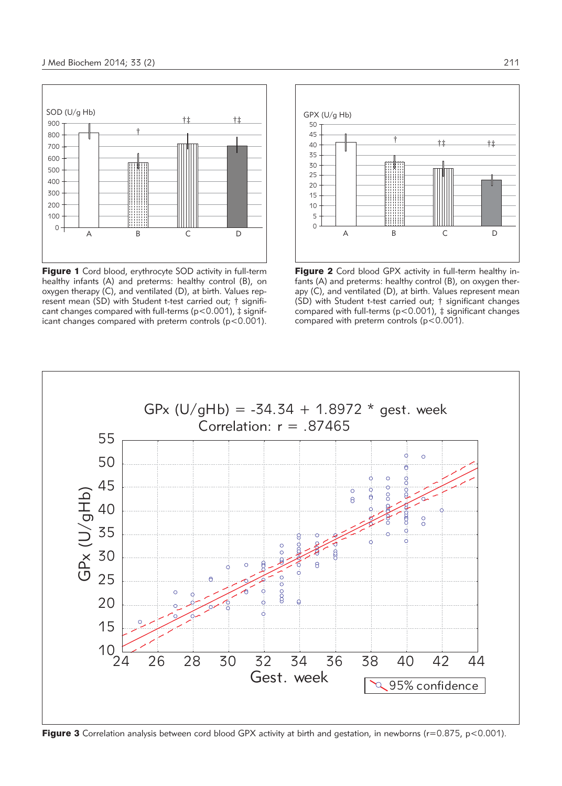

Figure 1 Cord blood, erythrocyte SOD activity in full-term healthy infants (A) and preterms: healthy control (B), on oxygen therapy (C), and ventilated (D), at birth. Values represent mean (SD) with Student t-test carried out; † significant changes compared with full-terms ( $p < 0.001$ ),  $\ddagger$  significant changes compared with preterm controls (p<0.001).



Figure 2 Cord blood GPX activity in full-term healthy infants (A) and preterms: healthy control (B), on oxygen therapy (C), and ventilated (D), at birth. Values represent mean (SD) with Student t-test carried out; † significant changes compared with full-terms ( $p$ <0.001),  $\ddagger$  significant changes compared with preterm controls (p<0.001).



**Figure 3** Correlation analysis between cord blood GPX activity at birth and gestation, in newborns ( $r=0.875$ ,  $p<0.001$ ).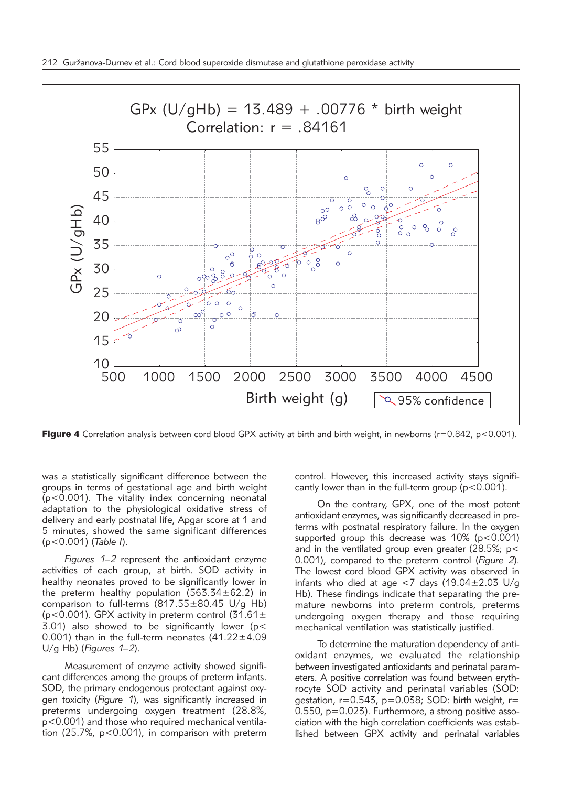

Figure 4 Correlation analysis between cord blood GPX activity at birth and birth weight, in newborns ( $r=0.842$ ,  $p<0.001$ ).

was a statistically significant difference between the groups in terms of gestational age and birth weight (p<0.001). The vitality index concerning neonatal adaptation to the physiological oxidative stress of delivery and early postnatal life, Apgar score at 1 and 5 minutes, showed the same significant differences (p<0.001) (*Table I*).

*Figures 1–2* represent the antioxidant enzyme activities of each group, at birth. SOD activity in healthy neonates proved to be significantly lower in the preterm healthy population  $(563.34 \pm 62.2)$  in comparison to full-terms  $(817.55 \pm 80.45 \text{ U/g Hb})$ ( $p$ <0.001). GPX activity in preterm control ( $31.61 \pm$  $3.01$ ) also showed to be significantly lower ( $p <$ 0.001) than in the full-term neonates  $(41.22 \pm 4.09)$ U/g Hb) (*Figures 1–2*).

Measurement of enzyme activity showed significant differences among the groups of preterm infants. SOD, the primary endogenous protectant against oxygen toxicity (*Figure 1*), was significantly increased in preterms undergoing oxygen treatment (28.8%, p<0.001) and those who required mechanical ventilation (25.7%, p<0.001), in comparison with preterm control. However, this increased activity stays significantly lower than in the full-term group (p<0.001).

On the contrary, GPX, one of the most potent antioxidant enzymes, was significantly decreased in preterms with postnatal respiratory failure. In the oxygen supported group this decrease was  $10\%$  (p<0.001) and in the ventilated group even greater (28.5%; p< 0.001), compared to the preterm control (*Figure 2*). The lowest cord blood GPX activity was observed in infants who died at age <7 days  $(19.04 \pm 2.03 \text{ U/g})$ Hb). These findings indicate that separating the premature newborns into preterm controls, preterms undergoing oxygen therapy and those requiring mechanical ventilation was statistically justified.

To determine the maturation dependency of antioxidant enzymes, we evaluated the relationship between investigated antioxidants and perinatal parameters. A positive correlation was found between erythrocyte SOD activity and perinatal variables (SOD: gestation,  $r=0.543$ ,  $p=0.038$ ; SOD: birth weight,  $r=$ 0.550,  $p=0.023$ ). Furthermore, a strong positive association with the high correlation coefficients was established between GPX activity and perinatal variables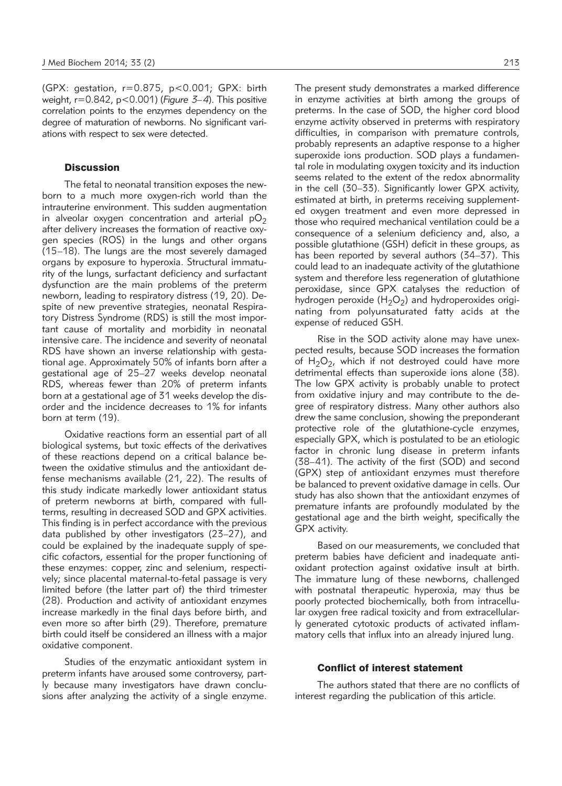(GPX: gestation, r=0.875, p<0.001; GPX: birth weight, r=0.842, p<0.001) (*Figure 3–4*). This positive correlation points to the enzymes dependency on the degree of maturation of newborns. No significant variations with respect to sex were detected.

## **Discussion**

The fetal to neonatal transition exposes the newborn to a much more oxygen-rich world than the intrauterine environment. This sudden augmentation in alveolar oxygen concentration and arterial  $pO<sub>2</sub>$ after delivery increases the formation of reactive oxygen species (ROS) in the lungs and other organs (15–18). The lungs are the most severely damaged organs by exposure to hyperoxia. Structural immaturity of the lungs, surfactant deficiency and surfactant dysfunction are the main problems of the preterm newborn, leading to respiratory distress (19, 20). Despite of new preventive strategies, neonatal Respiratory Distress Syndrome (RDS) is still the most important cause of mortality and morbidity in neonatal intensive care. The incidence and severity of neonatal RDS have shown an inverse relationship with gestational age. Approximately 50% of infants born after a gestational age of 25–27 weeks develop neonatal RDS, whereas fewer than 20% of preterm infants born at a gestational age of 31 weeks develop the disorder and the incidence decreases to 1% for infants born at term (19).

Oxidative reactions form an essential part of all biological systems, but toxic effects of the derivatives of these reactions depend on a critical balance between the oxidative stimulus and the antioxidant defense mechanisms available (21, 22). The results of this study indicate markedly lower antioxidant status of preterm newborns at birth, compared with fullterms, resulting in decreased SOD and GPX activities. This finding is in perfect accordance with the previous data published by other investigators (23–27), and could be explained by the inadequate supply of specific cofactors, essential for the proper functioning of these enzymes: copper, zinc and selenium, respectively; since placental maternal-to-fetal passage is very limited before (the latter part of) the third trimester (28). Production and activity of antioxidant enzymes increase markedly in the final days before birth, and even more so after birth (29). Therefore, premature birth could itself be considered an illness with a major oxidative component.

Studies of the enzymatic antioxidant system in preterm infants have aroused some controversy, partly because many investigators have drawn conclusions after analyzing the activity of a single enzyme. The present study demonstrates a marked difference in enzyme activities at birth among the groups of preterms. In the case of SOD, the higher cord blood enzyme activity observed in preterms with respiratory difficulties, in comparison with premature controls, probably represents an adaptive response to a higher superoxide ions production. SOD plays a fundamental role in modulating oxygen toxicity and its induction seems related to the extent of the redox abnormality in the cell (30–33). Significantly lower GPX activity, estimated at birth, in preterms receiving supplemented oxygen treatment and even more depressed in those who required mechanical ventilation could be a consequence of a selenium deficiency and, also, a possible glutathione (GSH) deficit in these groups, as has been reported by several authors (34–37). This could lead to an inadequate activity of the glutathione system and therefore less regeneration of glutathione peroxidase, since GPX catalyses the reduction of hydrogen peroxide ( $H_2O_2$ ) and hydroperoxides originating from polyunsaturated fatty acids at the expense of reduced GSH.

Rise in the SOD activity alone may have unexpected results, because SOD increases the formation of  $H_2O_2$ , which if not destroyed could have more detrimental effects than superoxide ions alone (38). The low GPX activity is probably unable to protect from oxidative injury and may contribute to the degree of respiratory distress. Many other authors also drew the same conclusion, showing the preponderant protective role of the glutathione-cycle enzymes, especially GPX, which is postulated to be an etiologic factor in chronic lung disease in preterm infants (38–41). The activity of the first (SOD) and second (GPX) step of antioxidant enzymes must therefore be balanced to prevent oxidative damage in cells. Our study has also shown that the antioxidant enzymes of premature infants are profoundly modulated by the gestational age and the birth weight, specifically the GPX activity.

Based on our measurements, we concluded that preterm babies have deficient and inadequate antioxidant protection against oxidative insult at birth. The immature lung of these newborns, challenged with postnatal therapeutic hyperoxia, may thus be poorly protected biochemically, both from intracellular oxygen free radical toxicity and from extracellularly generated cytotoxic products of activated inflammatory cells that influx into an already injured lung.

## Conflict of interest statement

The authors stated that there are no conflicts of interest regarding the publication of this article.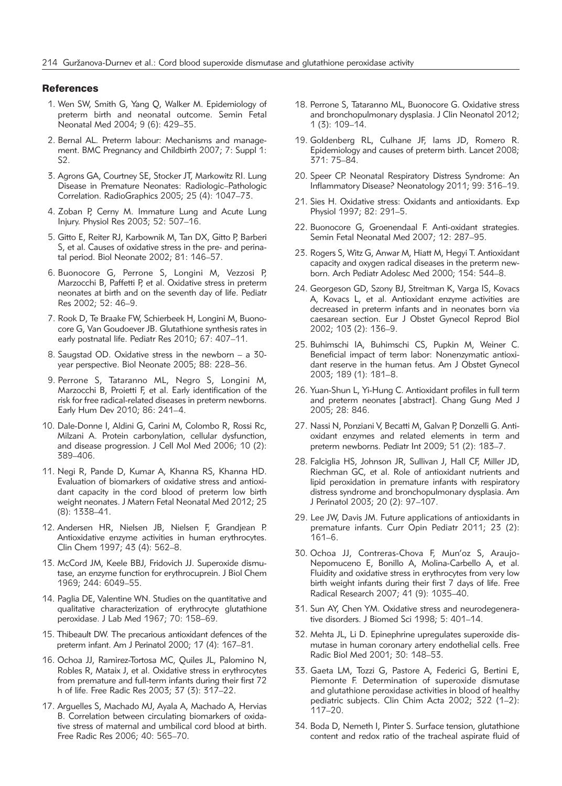#### **References**

- 1. Wen SW, Smith G, Yang Q, Walker M. Epidemiology of preterm birth and neonatal outcome. Semin Fetal Neonatal Med 2004; 9 (6): 429–35.
- 2. Bernal AL. Preterm labour: Mechanisms and management. BMC Pregnancy and Childbirth 2007; 7: Suppl 1: S2.
- 3. Agrons GA, Courtney SE, Stocker JT, Markowitz RI. Lung Disease in Premature Neonates: Radiologic–Pathologic Correlation. RadioGraphics 2005; 25 (4): 1047–73.
- 4. Zoban P, Cerny M. Immature Lung and Acute Lung Injury. Physiol Res 2003; 52: 507–16.
- 5. Gitto E, Reiter RJ, Karbownik M, Tan DX, Gitto P, Barberi S, et al. Causes of oxidative stress in the pre- and perinatal period. Biol Neonate 2002; 81: 146–57.
- 6. Buonocore G, Perrone S, Longini M, Vezzosi P, Marzocchi B, Paffetti P, et al. Oxidative stress in preterm neonates at birth and on the seventh day of life. Pediatr Res 2002; 52: 46–9.
- 7. Rook D, Te Braake FW, Schierbeek H, Longini M, Buonocore G, Van Goudoever JB. Glutathione synthesis rates in early postnatal life. Pediatr Res 2010; 67: 407–11.
- 8. Saugstad OD. Oxidative stress in the newborn a 30 year perspective. Biol Neonate 2005; 88: 228–36.
- 9. Perrone S, Tataranno ML, Negro S, Longini M, Marzocchi B, Proietti F, et al. Early identification of the risk for free radical-related diseases in preterm newborns. Early Hum Dev 2010; 86: 241–4.
- 10. Dale-Donne I, Aldini G, Carini M, Colombo R, Rossi Rc, Milzani A. Protein carbonylation, cellular dysfunction, and disease progression. J Cell Mol Med 2006; 10 (2): 389–406.
- 11. Negi R, Pande D, Kumar A, Khanna RS, Khanna HD. Evaluation of biomarkers of oxidative stress and antioxidant capacity in the cord blood of preterm low birth weight neonates. J Matern Fetal Neonatal Med 2012; 25 (8): 1338–41.
- 12. Andersen HR, Nielsen JB, Nielsen F, Grandjean P. Antioxidative enzyme activities in human erythrocytes. Clin Chem 1997; 43 (4): 562–8.
- 13. McCord JM, Keele BBJ, Fridovich JJ. Superoxide dismutase, an enzyme function for erythrocuprein. J Biol Chem 1969; 244: 6049–55.
- 14. Paglia DE, Valentine WN. Studies on the quantitative and qualitative characterization of erythrocyte glutathione peroxidase. J Lab Med 1967; 70: 158–69.
- 15. Thibeault DW. The precarious antioxidant defences of the preterm infant. Am J Perinatol 2000; 17 (4): 167–81.
- 16. Ochoa JJ, Ramirez-Tortosa MC, Quiles JL, Palomino N, Robles R, Mataix J, et al. Oxidative stress in erythrocytes from premature and full-term infants during their first 72 h of life. Free Radic Res 2003; 37 (3): 317–22.
- 17. Arguelles S, Machado MJ, Ayala A, Machado A, Hervias B. Correlation between circulating biomarkers of oxidative stress of maternal and umbilical cord blood at birth. Free Radic Res 2006; 40: 565–70.
- 18. Perrone S, Tataranno ML, Buonocore G. Oxidative stress and bronchopulmonary dysplasia. J Clin Neonatol 2012; 1 (3): 109–14.
- 19. Goldenberg RL, Culhane JF, Iams JD, Romero R. Epidemiology and causes of preterm birth. Lancet 2008; 371: 75–84.
- 20. Speer CP. Neonatal Respiratory Distress Syndrome: An Inflammatory Disease? Neonatology 2011; 99: 316–19.
- 21. Sies H. Oxidative stress: Oxidants and antioxidants. Exp Physiol 1997; 82: 291–5.
- 22. Buonocore G, Groenendaal F. Anti-oxidant strategies. Semin Fetal Neonatal Med 2007; 12: 287–95.
- 23. Rogers S, Witz G, Anwar M, Hiatt M, Hegyi T. Antioxidant capacity and oxygen radical diseases in the preterm newborn. Arch Pediatr Adolesc Med 2000; 154: 544–8.
- 24. Georgeson GD, Szony BJ, Streitman K, Varga IS, Kovacs A, Kovacs L, et al. Antioxidant enzyme activities are decreased in preterm infants and in neonates born via caesarean section. Eur J Obstet Gynecol Reprod Biol 2002; 103 (2): 136–9.
- 25. Buhimschi IA, Buhimschi CS, Pupkin M, Weiner C. Beneficial impact of term labor: Nonenzymatic antioxidant reserve in the human fetus. Am J Obstet Gynecol 2003; 189 (1): 181–8.
- 26. Yuan-Shun L, Yi-Hung C. Antioxidant profiles in full term and preterm neonates [abstract]. Chang Gung Med J 2005; 28: 846.
- 27. Nassi N, Ponziani V, Becatti M, Galvan P, Donzelli G. Antioxidant enzymes and related elements in term and preterm newborns. Pediatr Int 2009; 51 (2): 183–7.
- 28. Falciglia HS, Johnson JR, Sullivan J, Hall CF, Miller JD, Riechman GC, et al. Role of antioxidant nutrients and lipid peroxidation in premature infants with respiratory distress syndrome and bronchopulmonary dysplasia. Am J Perinatol 2003; 20 (2): 97–107.
- 29. Lee JW, Davis JM. Future applications of antioxidants in premature infants. Curr Opin Pediatr 2011; 23 (2): 161–6.
- 30. Ochoa JJ, Contreras-Chova F, Mun'oz S, Araujo-Nepomuceno E, Bonillo A, Molina-Carbello A, et al. Fluidity and oxidative stress in erythrocytes from very low birth weight infants during their first 7 days of life. Free Radical Research 2007; 41 (9): 1035–40.
- 31. Sun AY, Chen YM. Oxidative stress and neurodegenerative disorders. J Biomed Sci 1998; 5: 401–14.
- 32. Mehta JL, Li D. Epinephrine upregulates superoxide dismutase in human coronary artery endothelial cells. Free Radic Biol Med 2001; 30: 148–53.
- 33. Gaeta LM, Tozzi G, Pastore A, Federici G, Bertini E, Piemonte F. Determination of superoxide dismutase and glutathione peroxidase activities in blood of healthy pediatric subjects. Clin Chim Acta 2002; 322 (1–2): 117–20.
- 34. Boda D, Nemeth I, Pinter S. Surface tension, glutathione content and redox ratio of the tracheal aspirate fluid of